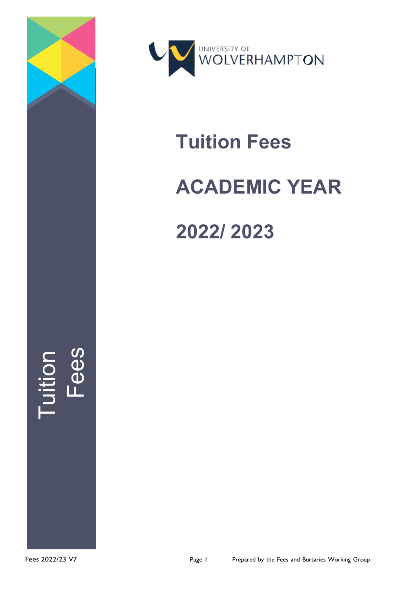



# **Tuition Fees**

# **ACADEMIC YEAR**

**2022/ 2023**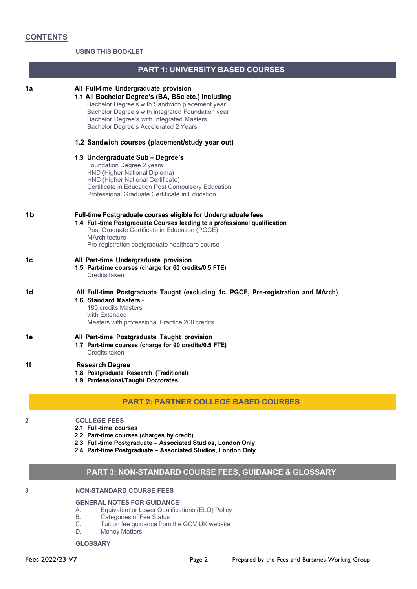**USING THIS BOOKLET**

| 1a | All Full-time Undergraduate provision<br>1.1 All Bachelor Degree's (BA, BSc etc.) including<br>Bachelor Degree's with Sandwich placement year<br>Bachelor Degree's with integrated Foundation year<br>Bachelor Degree's with Integrated Masters<br>Bachelor Degree's Accelerated 2 Years |
|----|------------------------------------------------------------------------------------------------------------------------------------------------------------------------------------------------------------------------------------------------------------------------------------------|
|    | 1.2 Sandwich courses (placement/study year out)                                                                                                                                                                                                                                          |
|    | 1.3 Undergraduate Sub - Degree's<br>Foundation Degree 2 years<br>HND (Higher National Diploma)<br>HNC (Higher National Certificate)<br>Certificate in Education Post Compulsory Education<br>Professional Graduate Certificate in Education                                              |
| 1b | Full-time Postgraduate courses eligible for Undergraduate fees<br>1.4 Full-time Postgraduate Courses leading to a professional qualification<br>Post Graduate Certificate in Education (PGCE)<br><b>MArchitecture</b><br>Pre-registration postgraduate healthcare course                 |
| 1c | All Part-time Undergraduate provision<br>1.5 Part-time courses (charge for 60 credits/0.5 FTE)<br>Credits taken                                                                                                                                                                          |
| 1d | All Full-time Postgraduate Taught (excluding 1c. PGCE, Pre-registration and MArch)<br>1.6 Standard Masters -<br>180 credits Masters<br>with Extended<br>Masters with professional Practice 200 credits                                                                                   |
| 1e | All Part-time Postgraduate Taught provision<br>1.7 Part-time courses (charge for 90 credits/0.5 FTE)<br>Credits taken                                                                                                                                                                    |
| 1f | <b>Research Degree</b><br>1.8 Postgraduate Research (Traditional)<br>1.9 Professional/Taught Doctorates                                                                                                                                                                                  |
|    | <b>PART 2: PARTNER COLLEGE BASED COURSES</b>                                                                                                                                                                                                                                             |
| 2  | <b>COLLEGE FEES</b><br>2.1 Full-time courses<br>2.2 Part-time courses (charges by credit)<br>2.3 Full-time Postgraduate - Associated Studios, London Only<br>2.4 Part-time Postgraduate - Associated Studios, London Only                                                                |

**PART 1: UNIVERSITY BASED COURSES**

# **PART 3: NON-STANDARD COURSE FEES, GUIDANCE & GLOSSARY**

## **3 NON-STANDARD COURSE FEES**

#### **GENERAL NOTES FOR GUIDANCE**

- A. Equivalent or Lower Qualifications (ELQ) Policy
- B. Categories of Fee Status<br>C. Tuition fee guidance from
- C. Tuition fee guidance from the GOV.UK website<br>D. Money Matters
- **Money Matters**

**GLOSSARY**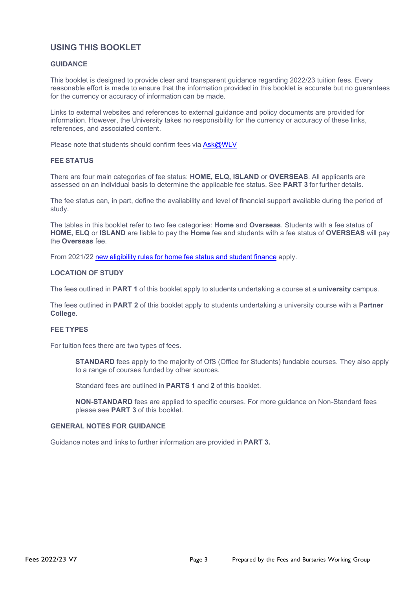### **USING THIS BOOKLET**

#### **GUIDANCE**

This booklet is designed to provide clear and transparent guidance regarding 2022/23 tuition fees. Every reasonable effort is made to ensure that the information provided in this booklet is accurate but no guarantees for the currency or accuracy of information can be made.

Links to external websites and references to external guidance and policy documents are provided for information. However, the University takes no responsibility for the currency or accuracy of these links, references, and associated content.

Please note that students should confirm fees via [Ask@WLV](https://www.wlv.ac.uk/current-students/askwlv/)

#### **FEE STATUS**

There are four main categories of fee status: **HOME, ELQ, ISLAND** or **OVERSEAS**. All applicants are assessed on an individual basis to determine the applicable fee status. See **PART 3** for further details.

The fee status can, in part, define the availability and level of financial support available during the period of study.

The tables in this booklet refer to two fee categories: **Home** and **Overseas**. Students with a fee status of **HOME, ELQ** or **ISLAND** are liable to pay the **Home** fee and students with a fee status of **OVERSEAS** will pay the **Overseas** fee.

From 2021/22 new [eligibility](https://assets.publishing.service.gov.uk/government/uploads/system/uploads/attachment_data/file/1009789/EU_Exit_Student_Finance_Policy_-_Aug_21.pdf) rules for home fee status and student finance apply.

#### **LOCATION OF STUDY**

The fees outlined in **PART 1** of this booklet apply to students undertaking a course at a **university** campus.

The fees outlined in **PART 2** of this booklet apply to students undertaking a university course with a **Partner College**.

#### **FEE TYPES**

For tuition fees there are two types of fees.

**STANDARD** fees apply to the majority of OfS (Office for Students) fundable courses. They also apply to a range of courses funded by other sources.

Standard fees are outlined in **PARTS 1** and **2** of this booklet.

**NON-STANDARD** fees are applied to specific courses. For more guidance on Non-Standard fees please see **PART 3** of this booklet.

#### **GENERAL NOTES FOR GUIDANCE**

Guidance notes and links to further information are provided in **PART 3.**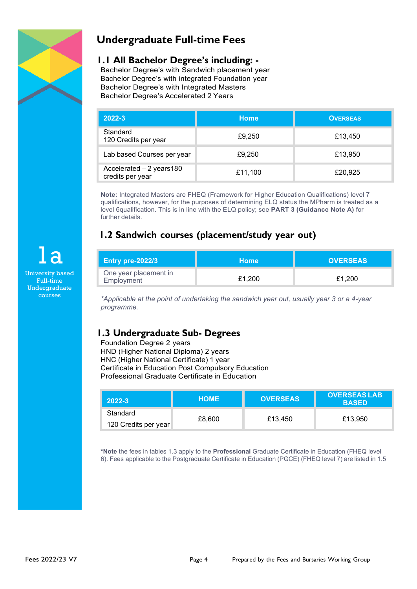

# **Undergraduate Full-time Fees**

### **1.1 All Bachelor Degree's including: -**

Bachelor Degree's with Sandwich placement year Bachelor Degree's with integrated Foundation year Bachelor Degree's with Integrated Masters Bachelor Degree's Accelerated 2 Years

| 2022-3                                        | <b>Home</b> | <b>OVERSEAS</b> |
|-----------------------------------------------|-------------|-----------------|
| Standard<br>120 Credits per year              | £9,250      | £13,450         |
| Lab based Courses per year                    | £9,250      | £13,950         |
| Accelerated - 2 years 180<br>credits per year | £11,100     | £20,925         |

**Note:** Integrated Masters are FHEQ (Framework for Higher Education Qualifications) level 7 qualifications, however, for the purposes of determining ELQ status the MPharm is treated as a level 6qualification. This is in line with the ELQ policy; see **PART 3 (Guidance Note A)** for further details.

# **1.2 Sandwich courses (placement/study year out)**

| <b>Entry pre-2022/3</b>             | <b>Home</b> | <b>OVERSEAS</b> |
|-------------------------------------|-------------|-----------------|
| One year placement in<br>Employment | £1.200      | £1.200          |

*\*Applicable at the point of undertaking the sandwich year out, usually year 3 or a 4-year programme.*

# **1.3 Undergraduate Sub- Degrees**

Foundation Degree 2 years HND (Higher National Diploma) 2 years HNC (Higher National Certificate) 1 year Certificate in Education Post Compulsory Education Professional Graduate Certificate in Education

| $2022 - 3$           | <b>HOME</b> | <b>OVERSEAS</b> | <b>OVERSEAS LAB</b><br><b>BASED</b> |
|----------------------|-------------|-----------------|-------------------------------------|
| Standard             |             |                 |                                     |
| 120 Credits per year | £8,600      | £13,450         | £13,950                             |

**\*Note** the fees in tables 1.3 apply to the **Professional** Graduate Certificate in Education (FHEQ level 6). Fees applicable to the Postgraduate Certificate in Education (PGCE) (FHEQ level 7) are listed in 1.5

1a University based Full-time Undergraduate courses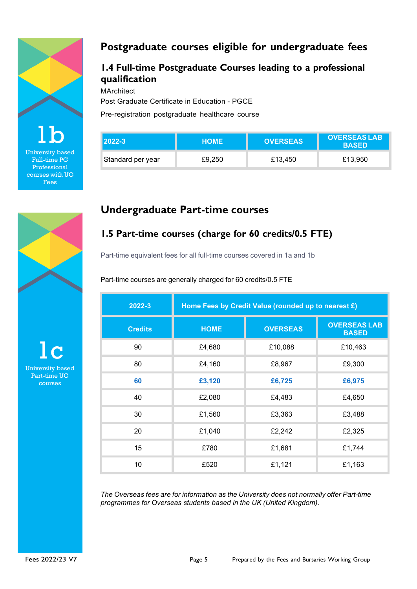

University based Full-time PG Professional courses with UG Fees

# **Postgraduate courses eligible for undergraduate fees**

# **1.4 Full-time Postgraduate Courses leading to a professional qualification**

**MArchitect** 

Post Graduate Certificate in Education - PGCE

Pre-registration postgraduate healthcare course

| <b>2022-3</b>     | <b>HOME</b> | <b>OVERSEAS</b> | <b>OVERSEAS LAB</b><br><b>BASED</b> |
|-------------------|-------------|-----------------|-------------------------------------|
| Standard per year | £9.250      | £13,450         | £13,950                             |

# **Undergraduate Part-time courses**

# **1.5 Part-time courses (charge for 60 credits/0.5 FTE)**

Part-time equivalent fees for all full-time courses covered in 1a and 1b

Part-time courses are generally charged for 60 credits/0.5 FTE

| 2022-3         | Home Fees by Credit Value (rounded up to nearest £) |                 |                                     |  |
|----------------|-----------------------------------------------------|-----------------|-------------------------------------|--|
| <b>Credits</b> | <b>HOME</b>                                         | <b>OVERSEAS</b> | <b>OVERSEAS LAB</b><br><b>BASED</b> |  |
| 90             | £4,680                                              | £10,088         | £10,463                             |  |
| 80             | £4,160                                              | £8,967          | £9,300                              |  |
| 60             | £3,120                                              | £6,725          | £6,975                              |  |
| 40             | £2,080                                              | £4,483          | £4,650                              |  |
| 30             | £1,560                                              | £3,363          | £3,488                              |  |
| 20             | £1,040                                              | £2,242          | £2,325                              |  |
| 15             | £780                                                | £1,681          | £1,744                              |  |
| 10             | £520                                                | £1,121          | £1,163                              |  |

*The Overseas fees are for information as the University does not normally offer Part-time programmes for Overseas students based in the UK (United Kingdom).*



 $1<sub>c</sub>$ University based Part-time UG courses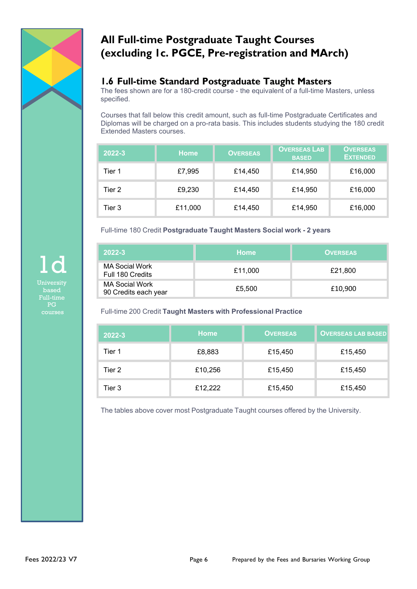

# **All Full-time Postgraduate Taught Courses (excluding 1c. PGCE, Pre-registration and MArch)**

# **1.6 Full-time Standard Postgraduate Taught Masters**

The fees shown are for a 180-credit course - the equivalent of a full-time Masters, unless specified.

Courses that fall below this credit amount, such as full-time Postgraduate Certificates and Diplomas will be charged on a pro-rata basis. This includes students studying the 180 credit Extended Masters courses.

| 2022-3 | <b>Home</b> | <b>OVERSEAS</b> | <b>OVERSEAS LAB</b><br><b>BASED</b> | <b>OVERSEAS</b><br><b>EXTENDED</b> |
|--------|-------------|-----------------|-------------------------------------|------------------------------------|
| Tier 1 | £7,995      | £14,450         | £14,950                             | £16,000                            |
| Tier 2 | £9,230      | £14,450         | £14,950                             | £16,000                            |
| Tier 3 | £11,000     | £14,450         | £14,950                             | £16,000                            |

Full-time 180 Credit **Postgraduate Taught Masters Social work - 2 years**

| $2022 - 3$                             | <b>Home</b> | <b>OVERSEAS</b> |
|----------------------------------------|-------------|-----------------|
| MA Social Work<br>Full 180 Credits     | £11,000     | £21,800         |
| MA Social Work<br>90 Credits each year | £5,500      | £10,900         |

Full-time 200 Credit **Taught Masters with Professional Practice**

| 2022-3 | <b>Home</b> | <b>OVERSEAS</b> | <b>OVERSEAS LAB BASED</b> |
|--------|-------------|-----------------|---------------------------|
| Tier 1 | £8,883      | £15,450         | £15,450                   |
| Tier 2 | £10,256     | £15,450         | £15,450                   |
| Tier 3 | £12,222     | £15,450         | £15,450                   |

The tables above cover most Postgraduate Taught courses offered by the University.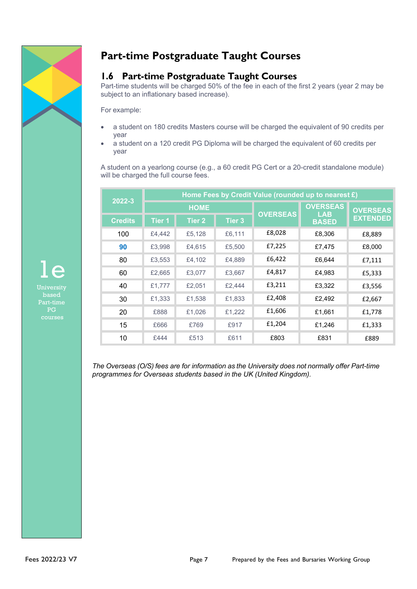

# **Part-time Postgraduate Taught Courses**

### **1.6 Part-time Postgraduate Taught Courses**

Part-time students will be charged 50% of the fee in each of the first 2 years (year 2 may be subject to an inflationary based increase).

For example:

- a student on 180 credits Masters course will be charged the equivalent of 90 credits per year
- a student on a 120 credit PG Diploma will be charged the equivalent of 60 credits per year

A student on a yearlong course (e.g., a 60 credit PG Cert or a 20-credit standalone module) will be charged the full course fees.

| 2022-3         | Home Fees by Credit Value (rounded up to nearest £) |                   |               |                               |                 |                 |
|----------------|-----------------------------------------------------|-------------------|---------------|-------------------------------|-----------------|-----------------|
|                | <b>HOME</b>                                         |                   |               | <b>OVERSEAS</b><br><b>LAB</b> | <b>OVERSEAS</b> |                 |
| <b>Credits</b> | <b>Tier 1</b>                                       | Tier <sub>2</sub> | <b>Tier 3</b> | <b>OVERSEAS</b>               | <b>BASED</b>    | <b>EXTENDED</b> |
| 100            | £4,442                                              | £5,128            | £6,111        | £8,028                        | £8,306          | £8,889          |
| 90             | £3,998                                              | £4,615            | £5,500        | £7,225                        | £7,475          | £8,000          |
| 80             | £3,553                                              | £4,102            | £4,889        | £6,422                        | £6.644          | £7,111          |
| 60             | £2,665                                              | £3,077            | £3,667        | £4,817                        | £4,983          | £5,333          |
| 40             | £1,777                                              | £2,051            | £2,444        | £3,211                        | £3,322          | £3,556          |
| 30             | £1,333                                              | £1,538            | £1,833        | £2,408                        | £2,492          | £2,667          |
| 20             | £888                                                | £1,026            | £1,222        | £1,606                        | £1,661          | £1,778          |
| 15             | £666                                                | £769              | £917          | £1,204                        | £1,246          | £1,333          |
| 10             | £444                                                | £513              | £611          | £803                          | £831            | £889            |

*The Overseas (O/S) fees are for information as the University does not normally offer Part-time programmes for Overseas students based in the UK (United Kingdom).*

1e Part-time PG courses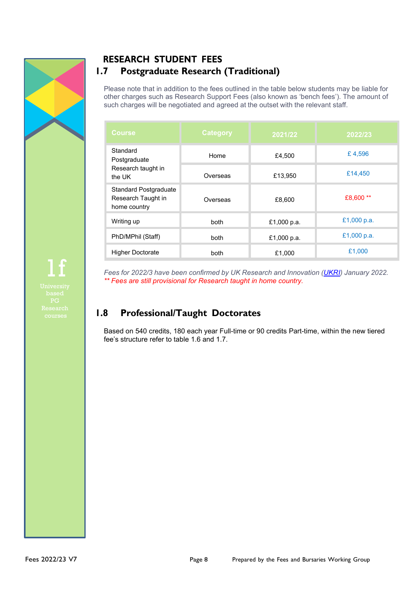

# **RESEARCH STUDENT FEES 1.7 Postgraduate Research (Traditional)**

Please note that in addition to the fees outlined in the table below students may be liable for other charges such as Research Support Fees (also known as 'bench fees'). The amount of such charges will be negotiated and agreed at the outset with the relevant staff.

| Course                                                             | <b>Category</b> | 2021/22     | 2022/23     |
|--------------------------------------------------------------------|-----------------|-------------|-------------|
| Standard<br>Postgraduate                                           | Home            | £4,500      | £4,596      |
| Research taught in<br>the UK                                       | Overseas        | £13,950     | £14,450     |
| <b>Standard Postgraduate</b><br>Research Taught in<br>home country | Overseas        | £8,600      | £8,600 **   |
| Writing up                                                         | both            | £1,000 p.a. | £1,000 p.a. |
| PhD/MPhil (Staff)                                                  | both            | £1,000 p.a. | £1,000 p.a. |
| <b>Higher Doctorate</b>                                            | both            | £1.000      | £1,000      |

*Fees for 2022/3 have been confirmed by UK Research and Innovation [\(UKRI\)](https://www.ukri.org/our-work/developing-people-and-skills/find-studentships-and-doctoral-training/get-a-studentship-to-fund-your-doctorate/) January 2022. \*\* Fees are still provisional for Research taught in home country.*

# **1.8 Professional/Taught Doctorates**

Based on 540 credits, 180 each year Full-time or 90 credits Part-time, within the new tiered fee's structure refer to table 1.6 and 1.7.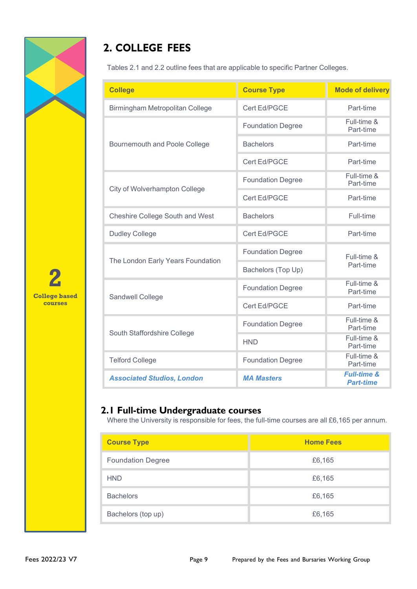

# **2. COLLEGE FEES**

Tables 2.1 and 2.2 outline fees that are applicable to specific Partner Colleges.

| <b>College</b>                         | <b>Course Type</b>       | <b>Mode of delivery</b>                    |
|----------------------------------------|--------------------------|--------------------------------------------|
| Birmingham Metropolitan College        | Cert Ed/PGCE             | Part-time                                  |
|                                        | <b>Foundation Degree</b> | Full-time &<br>Part-time                   |
| Bournemouth and Poole College          | <b>Bachelors</b>         | Part-time                                  |
|                                        | Cert Ed/PGCE             | Part-time                                  |
| City of Wolverhampton College          | <b>Foundation Degree</b> | Full-time &<br>Part-time                   |
|                                        | Cert Ed/PGCE             | Part-time                                  |
| <b>Cheshire College South and West</b> | <b>Bachelors</b>         | Full-time                                  |
| <b>Dudley College</b>                  | Cert Ed/PGCE             | Part-time                                  |
| The London Early Years Foundation      | <b>Foundation Degree</b> | Full-time &                                |
|                                        | Bachelors (Top Up)       | Part-time                                  |
| Sandwell College                       | <b>Foundation Degree</b> | Full-time &<br>Part-time                   |
|                                        | Cert Ed/PGCE             | Part-time                                  |
|                                        | <b>Foundation Degree</b> | Full-time &<br>Part-time                   |
| South Staffordshire College            | <b>HND</b>               | Full-time &<br>Part-time                   |
| <b>Telford College</b>                 | <b>Foundation Degree</b> | Full-time &<br>Part-time                   |
| <b>Associated Studios, London</b>      | <b>MA Masters</b>        | <b>Full-time &amp;</b><br><b>Part-time</b> |

# **2.1 Full-time Undergraduate courses**

Where the University is responsible for fees, the full-time courses are all £6,165 per annum.

| <b>Course Type</b>       | <b>Home Fees</b> |
|--------------------------|------------------|
| <b>Foundation Degree</b> | £6,165           |
| <b>HND</b>               | £6,165           |
| <b>Bachelors</b>         | £6,165           |
| Bachelors (top up)       | £6,165           |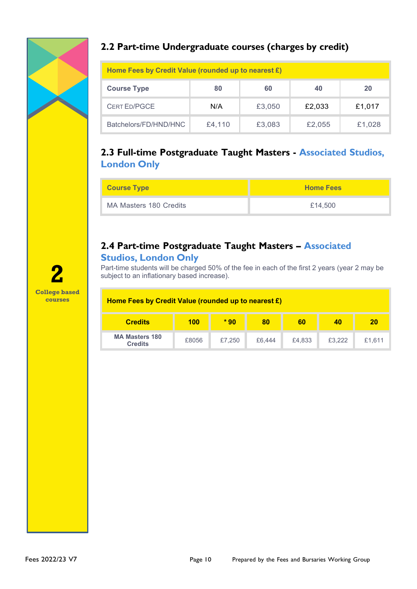

# **2.2 Part-time Undergraduate courses (charges by credit)**

| Home Fees by Credit Value (rounded up to nearest £) |        |        |        |        |
|-----------------------------------------------------|--------|--------|--------|--------|
| <b>Course Type</b>                                  | 80     | 60     | 40     | 20     |
| <b>CERT ED/PGCE</b>                                 | N/A    | £3,050 | £2.033 | £1,017 |
| Batchelors/FD/HND/HNC                               | £4,110 | £3,083 | £2,055 | £1,028 |

# **2.3 Full-time Postgraduate Taught Masters - Associated Studios, London Only**

| <b>Course Type</b>     | <b>Home Fees</b> |
|------------------------|------------------|
| MA Masters 180 Credits | £14,500          |

# **2.4 Part-time Postgraduate Taught Masters – Associated**

### **Studios, London Only**

Part-time students will be charged 50% of the fee in each of the first 2 years (year 2 may be subject to an inflationary based increase).

### **Home Fees by Credit Value (rounded up to nearest £)**

| <b>Credits</b>                          | 100   | $*90$  | 80     | 60     | 40     | 21     |
|-----------------------------------------|-------|--------|--------|--------|--------|--------|
| <b>MA Masters 180</b><br><b>Credits</b> | £8056 | £7.250 | £6,444 | £4,833 | £3.222 | £1.611 |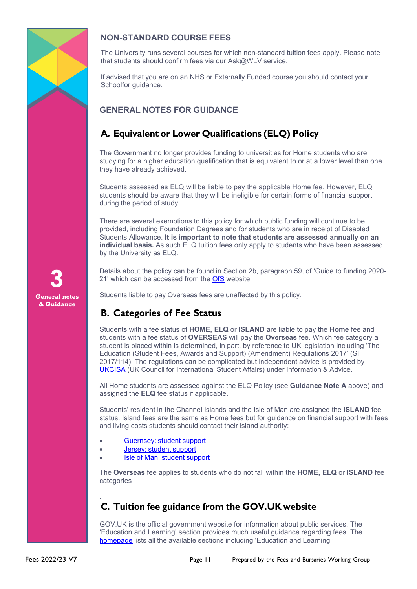

### **NON-STANDARD COURSE FEES**

The University runs several courses for which non-standard tuition fees apply. Please note that students should confirm fees via our Ask@WLV service.

If advised that you are on an NHS or Externally Funded course you should contact your Schoolfor guidance.

### **GENERAL NOTES FOR GUIDANCE**

# **A. Equivalent or Lower Qualifications (ELQ) Policy**

The Government no longer provides funding to universities for Home students who are studying for a higher education qualification that is equivalent to or at a lower level than one they have already achieved.

Students assessed as ELQ will be liable to pay the applicable Home fee. However, ELQ students should be aware that they will be ineligible for certain forms of financial support during the period of study.

There are several exemptions to this policy for which public funding will continue to be provided, including Foundation Degrees and for students who are in receipt of Disabled Students Allowance. **It is important to note that students are assessed annually on an individual basis.** As such ELQ tuition fees only apply to students who have been assessed by the University as ELQ.

Details about the policy can be found in Section 2b, paragraph 59, of 'Guide to funding 2020- 21' which can be accessed from the [OfS](https://www.officeforstudents.org.uk/media/aa1ad13f-8a96-4559-856d-76151438e5f5/guide-to-funding-2020-21-corrected.pdf) website.

Students liable to pay Overseas fees are unaffected by this policy.

# **B. Categories of Fee Status**

Students with a fee status of **HOME, ELQ** or **ISLAND** are liable to pay the **Home** fee and students with a fee status of **OVERSEAS** will pay the **Overseas** fee. Which fee category a student is placed within is determined, in part, by reference to UK legislation including 'The Education (Student Fees, Awards and Support) (Amendment) Regulations 2017' (SI 2017/114). The regulations can be complicated but independent advice is provided by [UKCISA](http://www.ukcisa.org.uk/) (UK Council for International Student Affairs) under Information & Advice.

All Home students are assessed against the ELQ Policy (see **Guidance Note A** above) and assigned the **ELQ** fee status if applicable.

Students' resident in the Channel Islands and the Isle of Man are assigned the **ISLAND** fee status. Island fees are the same as Home fees but for guidance on financial support with fees and living costs students should contact their island authority:

- [Guernsey:](https://www.gov.gg/education) student support
- Jersey: student [support](https://www.gov.je/Working/Careers/16To19YearOlds/EnteringHigherEducation/FinancingHigherEducationCourses/Pages/index.aspx)
- Isle of Man: student [support](https://www.gov.im/categories/education-training-and-careers)

The **Overseas** fee applies to students who do not fall within the **HOME, ELQ** or **ISLAND** fee categories

### . **C. Tuition fee guidance from the GOV.UK website**

GOV.UK is the official government website for information about public services. The 'Education and Learning' section provides much useful guidance regarding fees. The [homepage](https://www.gov.uk/) lists all the available sections including 'Education and Learning.'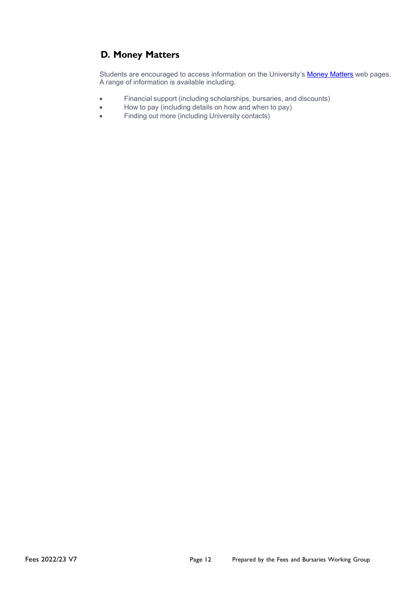# **D. Money Matters**

Students are encouraged to access information on the University's [Money Matters](http://www.wlv.ac.uk/default.aspx?page=20893) web pages. A range of information is available including.

- Financial support (including scholarships, bursaries, and discounts)
- How to pay (including details on how and when to pay)
- Finding out more (including University contacts)